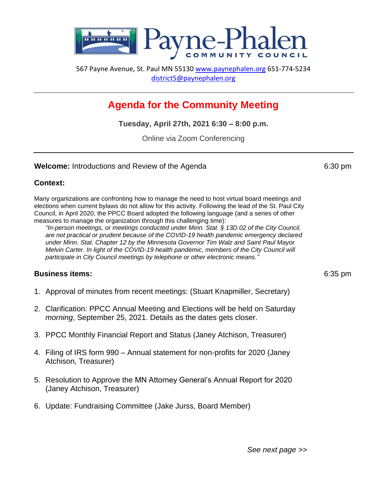

567 Payne Avenue, St. Paul MN 55130 [www.paynephalen.org](http://www.paynephalen.org/) 651-774-5234 [district5@paynephalen.org](mailto:district5@paynephalen.org)

# **Agenda for the Community Meeting**

**Tuesday, April 27th, 2021 6:30 – 8:00 p.m.**

Online via Zoom Conferencing

#### **Welcome:** Introductions and Review of the Agenda 6:30 pm

# **Context:**

Many organizations are confronting how to manage the need to host virtual board meetings and elections when current bylaws do not allow for this activity. Following the lead of the St. Paul City Council, in April 2020, the PPCC Board adopted the following language (and a series of other measures to manage the organization through this challenging time):

*"In-person meetings, or meetings conducted under Minn. Stat. § 13D.02 of the City Council, are not practical or prudent because of the COVID-19 health pandemic emergency declared under Minn. Stat. Chapter 12 by the Minnesota Governor Tim Walz and Saint Paul Mayor Melvin Carter. In light of the COVID-19 health pandemic, members of the City Council will participate in City Council meetings by telephone or other electronic means."*

# **Business items:** 6:35 pm

- 1. Approval of minutes from recent meetings: (Stuart Knapmiller, Secretary)
- 2. Clarification: PPCC Annual Meeting and Elections will be held on Saturday *morning*, September 25, 2021. Details as the dates gets closer.
- 3. PPCC Monthly Financial Report and Status (Janey Atchison, Treasurer)
- 4. Filing of IRS form 990 Annual statement for non-profits for 2020 (Janey Atchison, Treasurer)
- 5. Resolution to Approve the MN Attorney General's Annual Report for 2020 (Janey Atchison, Treasurer)
- 6. Update: Fundraising Committee (Jake Jurss, Board Member)